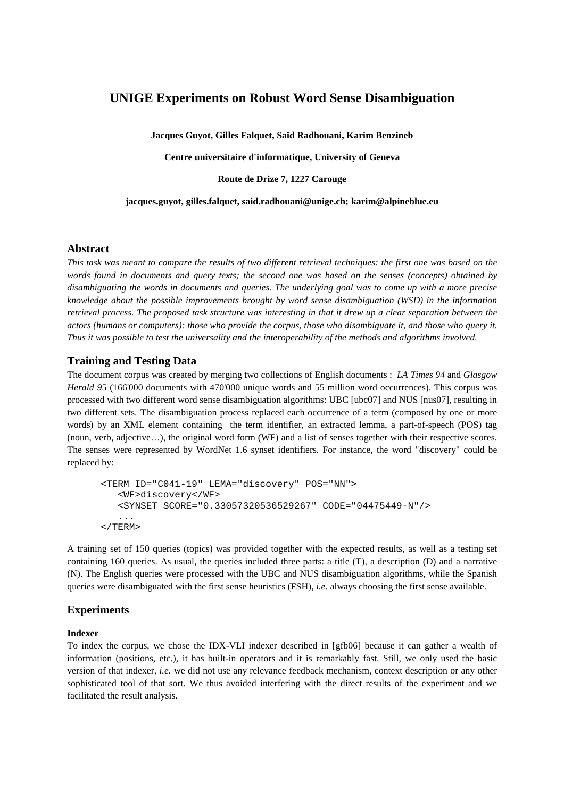# **UNIGE Experiments on Robust Word Sense Disambiguation**

**Jacques Guyot, Gilles Falquet, Saïd Radhouani, Karim Benzineb** 

**Centre universitaire d'informatique, University of Geneva** 

**Route de Drize 7, 1227 Carouge** 

**jacques.guyot, gilles.falquet, said.radhouani@unige.ch; karim@alpineblue.eu** 

# **Abstract**

*This task was meant to compare the results of two different retrieval techniques: the first one was based on the words found in documents and query texts; the second one was based on the senses (concepts) obtained by disambiguating the words in documents and queries. The underlying goal was to come up with a more precise knowledge about the possible improvements brought by word sense disambiguation (WSD) in the information retrieval process. The proposed task structure was interesting in that it drew up a clear separation between the actors (humans or computers): those who provide the corpus, those who disambiguate it, and those who query it. Thus it was possible to test the universality and the interoperability of the methods and algorithms involved.* 

## **Training and Testing Data**

The document corpus was created by merging two collections of English documents : *LA Times 94* and *Glasgow Herald 9*5 (166'000 documents with 470'000 unique words and 55 million word occurrences). This corpus was processed with two different word sense disambiguation algorithms: UBC [ubc07] and NUS [nus07], resulting in two different sets. The disambiguation process replaced each occurrence of a term (composed by one or more words) by an XML element containing the term identifier, an extracted lemma, a part-of-speech (POS) tag (noun, verb, adjective…), the original word form (WF) and a list of senses together with their respective scores. The senses were represented by WordNet 1.6 synset identifiers. For instance, the word "discovery" could be replaced by:

```
<TERM ID="C041-19" LEMA="discovery" POS="NN"> 
    <WF>discovery</WF> 
    <SYNSET SCORE="0.33057320536529267" CODE="04475449-N"/> 
    ... 
</TERM>
```
A training set of 150 queries (topics) was provided together with the expected results, as well as a testing set containing 160 queries. As usual, the queries included three parts: a title (T), a description (D) and a narrative (N). The English queries were processed with the UBC and NUS disambiguation algorithms, while the Spanish queries were disambiguated with the first sense heuristics (FSH), *i.e.* always choosing the first sense available.

## **Experiments**

### **Indexer**

To index the corpus, we chose the IDX-VLI indexer described in [gfb06] because it can gather a wealth of information (positions, etc.), it has built-in operators and it is remarkably fast. Still, we only used the basic version of that indexer, *i.e.* we did not use any relevance feedback mechanism, context description or any other sophisticated tool of that sort. We thus avoided interfering with the direct results of the experiment and we facilitated the result analysis.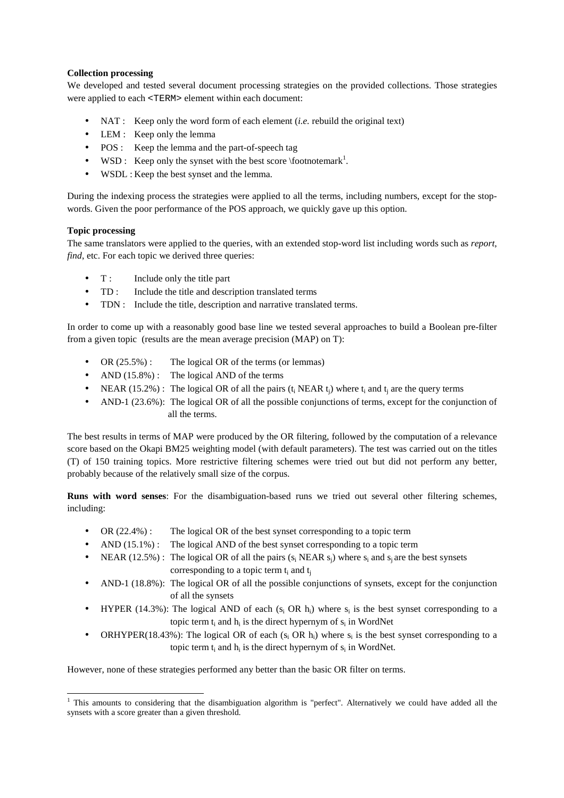## **Collection processing**

We developed and tested several document processing strategies on the provided collections. Those strategies were applied to each <TERM> element within each document:

- NAT : Keep only the word form of each element *(i.e.* rebuild the original text)
- LEM : Keep only the lemma
- POS : Keep the lemma and the part-of-speech tag
- WSD : Keep only the synset with the best score  $\cdot$  footnotemark<sup>1</sup>.
- WSDL : Keep the best synset and the lemma.

During the indexing process the strategies were applied to all the terms, including numbers, except for the stopwords. Given the poor performance of the POS approach, we quickly gave up this option.

## **Topic processing**

The same translators were applied to the queries, with an extended stop-word list including words such as *report*, *find*, etc. For each topic we derived three queries:

- T : Include only the title part
- TD : Include the title and description translated terms
- TDN : Include the title, description and narrative translated terms.

In order to come up with a reasonably good base line we tested several approaches to build a Boolean pre-filter from a given topic (results are the mean average precision (MAP) on T):

- OR  $(25.5\%)$ : The logical OR of the terms (or lemmas)
- AND  $(15.8\%)$ : The logical AND of the terms
- NEAR (15.2%) : The logical OR of all the pairs  $(t_i$  NEAR  $t_j$ ) where  $t_i$  and  $t_j$  are the query terms
- AND-1 (23.6%): The logical OR of all the possible conjunctions of terms, except for the conjunction of all the terms.

The best results in terms of MAP were produced by the OR filtering, followed by the computation of a relevance score based on the Okapi BM25 weighting model (with default parameters). The test was carried out on the titles (T) of 150 training topics. More restrictive filtering schemes were tried out but did not perform any better, probably because of the relatively small size of the corpus.

**Runs with word senses**: For the disambiguation-based runs we tried out several other filtering schemes, including:

- OR (22.4%) : The logical OR of the best synset corresponding to a topic term
- AND  $(15.1\%)$ : The logical AND of the best synset corresponding to a topic term
- NEAR (12.5%) : The logical OR of all the pairs  $(s_i$  NEAR  $s_j$ ) where  $s_i$  and  $s_j$  are the best synsets corresponding to a topic term  $t_i$  and  $t_j$
- AND-1 (18.8%): The logical OR of all the possible conjunctions of synsets, except for the conjunction of all the synsets
- HYPER (14.3%): The logical AND of each ( $s_i$  OR  $h_i$ ) where  $s_i$  is the best synset corresponding to a topic term  $t_i$  and  $h_i$  is the direct hypernym of  $s_i$  in WordNet
- ORHYPER(18.43%): The logical OR of each  $(s_i \text{ OR } h_i)$  where  $s_i$  is the best synset corresponding to a topic term  $t_i$  and  $h_i$  is the direct hypernym of  $s_i$  in WordNet.

However, none of these strategies performed any better than the basic OR filter on terms.

<sup>&</sup>lt;sup>1</sup> This amounts to considering that the disambiguation algorithm is "perfect". Alternatively we could have added all the synsets with a score greater than a given threshold.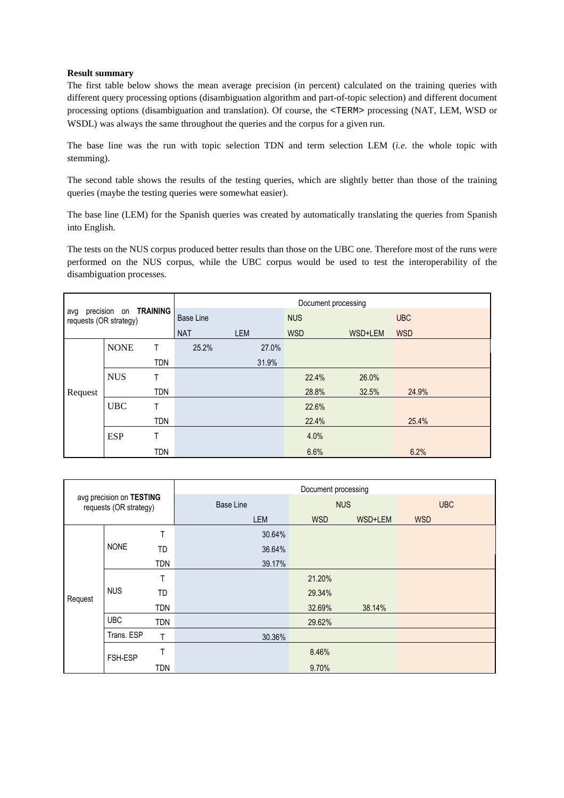## **Result summary**

The first table below shows the mean average precision (in percent) calculated on the training queries with different query processing options (disambiguation algorithm and part-of-topic selection) and different document processing options (disambiguation and translation). Of course, the <TERM> processing (NAT, LEM, WSD or WSDL) was always the same throughout the queries and the corpus for a given run.

The base line was the run with topic selection TDN and term selection LEM (*i.e.* the whole topic with stemming).

The second table shows the results of the testing queries, which are slightly better than those of the training queries (maybe the testing queries were somewhat easier).

The base line (LEM) for the Spanish queries was created by automatically translating the queries from Spanish into English.

The tests on the NUS corpus produced better results than those on the UBC one. Therefore most of the runs were performed on the NUS corpus, while the UBC corpus would be used to test the interoperability of the disambiguation processes.

| precision on TRAINING<br>avg<br>requests (OR strategy) |             | Document processing |            |            |            |            |            |
|--------------------------------------------------------|-------------|---------------------|------------|------------|------------|------------|------------|
|                                                        |             | Base Line           |            | <b>NUS</b> |            | <b>UBC</b> |            |
|                                                        |             |                     | <b>NAT</b> | <b>LEM</b> | <b>WSD</b> | WSD+LEM    | <b>WSD</b> |
|                                                        | <b>NONE</b> | T.                  | 25.2%      | 27.0%      |            |            |            |
|                                                        |             | <b>TDN</b>          |            | 31.9%      |            |            |            |
|                                                        | <b>NUS</b>  | T.                  |            |            | 22.4%      | 26.0%      |            |
| Request                                                |             | <b>TDN</b>          |            |            | 28.8%      | 32.5%      | 24.9%      |
|                                                        | <b>UBC</b>  | T                   |            |            | 22.6%      |            |            |
|                                                        |             | <b>TDN</b>          |            |            | 22.4%      |            | 25.4%      |
|                                                        | <b>ESP</b>  | Τ                   |            |            | 4.0%       |            |            |
|                                                        |             | <b>TDN</b>          |            |            | 6.6%       |            | 6.2%       |

|         |                                                    |            | Document processing |            |            |            |  |  |
|---------|----------------------------------------------------|------------|---------------------|------------|------------|------------|--|--|
|         | avg precision on TESTING<br>requests (OR strategy) |            | <b>Base Line</b>    |            | <b>NUS</b> | <b>UBC</b> |  |  |
|         |                                                    |            | LEM                 | <b>WSD</b> | WSD+LEM    | <b>WSD</b> |  |  |
|         |                                                    | T          | 30.64%              |            |            |            |  |  |
|         | <b>NONE</b>                                        | <b>TD</b>  | 36.64%              |            |            |            |  |  |
|         |                                                    | <b>TDN</b> | 39.17%              |            |            |            |  |  |
|         | <b>NUS</b>                                         | Τ          |                     | 21.20%     |            |            |  |  |
| Request |                                                    | <b>TD</b>  |                     | 29.34%     |            |            |  |  |
|         |                                                    | <b>TDN</b> |                     | 32.69%     | 38.14%     |            |  |  |
|         | <b>UBC</b>                                         | <b>TDN</b> |                     | 29.62%     |            |            |  |  |
|         | Trans. ESP                                         | T          | 30.36%              |            |            |            |  |  |
|         | FSH-ESP                                            | Τ          |                     | 8.46%      |            |            |  |  |
|         |                                                    | <b>TDN</b> |                     | 9.70%      |            |            |  |  |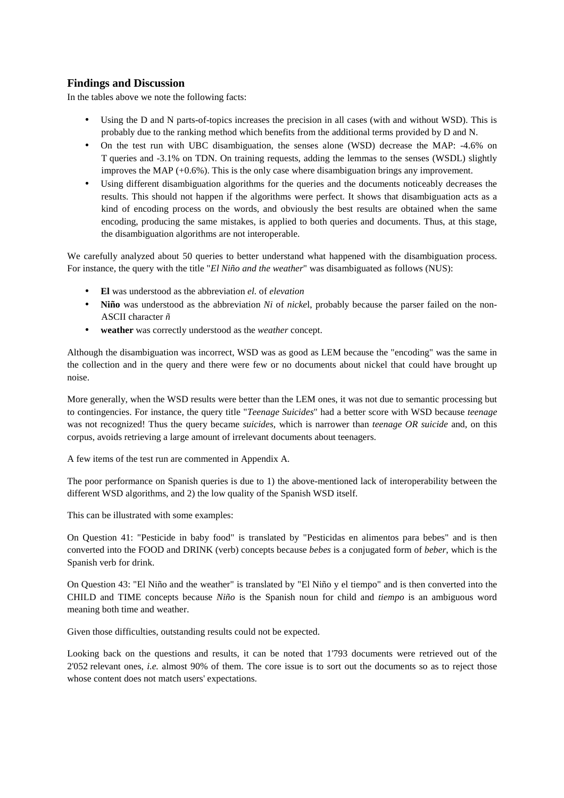## **Findings and Discussion**

In the tables above we note the following facts:

- Using the D and N parts-of-topics increases the precision in all cases (with and without WSD). This is probably due to the ranking method which benefits from the additional terms provided by D and N.
- On the test run with UBC disambiguation, the senses alone (WSD) decrease the MAP: -4.6% on T queries and -3.1% on TDN. On training requests, adding the lemmas to the senses (WSDL) slightly improves the MAP (+0.6%). This is the only case where disambiguation brings any improvement.
- Using different disambiguation algorithms for the queries and the documents noticeably decreases the results. This should not happen if the algorithms were perfect. It shows that disambiguation acts as a kind of encoding process on the words, and obviously the best results are obtained when the same encoding, producing the same mistakes, is applied to both queries and documents. Thus, at this stage, the disambiguation algorithms are not interoperable.

We carefully analyzed about 50 queries to better understand what happened with the disambiguation process. For instance, the query with the title "*El Niño and the weather*" was disambiguated as follows (NUS):

- **El** was understood as the abbreviation *el.* of *elevation*
- **Niño** was understood as the abbreviation *Ni* of *nicke*l, probably because the parser failed on the non-ASCII character *ñ*
- **weather** was correctly understood as the *weather* concept.

Although the disambiguation was incorrect, WSD was as good as LEM because the "encoding" was the same in the collection and in the query and there were few or no documents about nickel that could have brought up noise.

More generally, when the WSD results were better than the LEM ones, it was not due to semantic processing but to contingencies. For instance, the query title "*Teenage Suicides*" had a better score with WSD because *teenage* was not recognized! Thus the query became *suicides*, which is narrower than *teenage OR suicide* and, on this corpus, avoids retrieving a large amount of irrelevant documents about teenagers.

A few items of the test run are commented in Appendix A.

The poor performance on Spanish queries is due to 1) the above-mentioned lack of interoperability between the different WSD algorithms, and 2) the low quality of the Spanish WSD itself.

This can be illustrated with some examples:

On Question 41: "Pesticide in baby food" is translated by "Pesticidas en alimentos para bebes" and is then converted into the FOOD and DRINK (verb) concepts because *bebes* is a conjugated form of *beber*, which is the Spanish verb for drink.

On Question 43: "El Niño and the weather" is translated by "El Niño y el tiempo" and is then converted into the CHILD and TIME concepts because *Niño* is the Spanish noun for child and *tiempo* is an ambiguous word meaning both time and weather.

Given those difficulties, outstanding results could not be expected.

Looking back on the questions and results, it can be noted that 1'793 documents were retrieved out of the 2'052 relevant ones, *i.e.* almost 90% of them. The core issue is to sort out the documents so as to reject those whose content does not match users' expectations.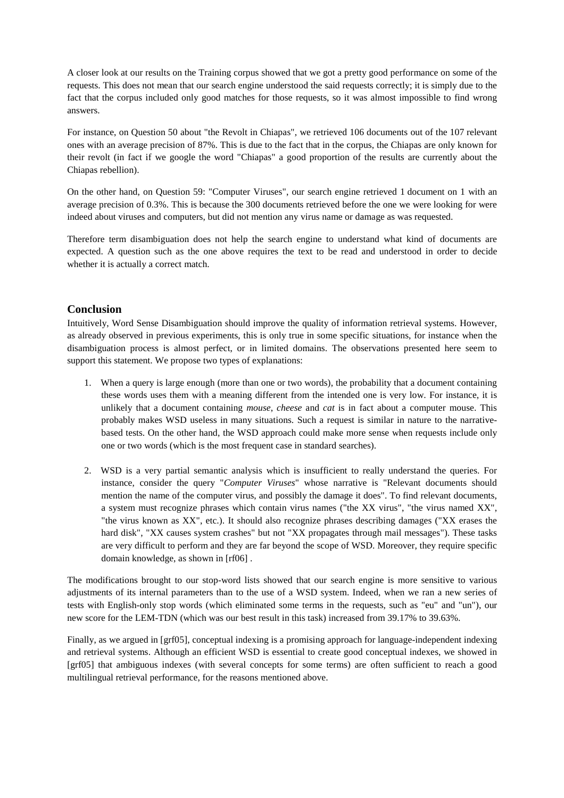A closer look at our results on the Training corpus showed that we got a pretty good performance on some of the requests. This does not mean that our search engine understood the said requests correctly; it is simply due to the fact that the corpus included only good matches for those requests, so it was almost impossible to find wrong answers.

For instance, on Question 50 about "the Revolt in Chiapas", we retrieved 106 documents out of the 107 relevant ones with an average precision of 87%. This is due to the fact that in the corpus, the Chiapas are only known for their revolt (in fact if we google the word "Chiapas" a good proportion of the results are currently about the Chiapas rebellion).

On the other hand, on Question 59: "Computer Viruses", our search engine retrieved 1 document on 1 with an average precision of 0.3%. This is because the 300 documents retrieved before the one we were looking for were indeed about viruses and computers, but did not mention any virus name or damage as was requested.

Therefore term disambiguation does not help the search engine to understand what kind of documents are expected. A question such as the one above requires the text to be read and understood in order to decide whether it is actually a correct match.

## **Conclusion**

Intuitively, Word Sense Disambiguation should improve the quality of information retrieval systems. However, as already observed in previous experiments, this is only true in some specific situations, for instance when the disambiguation process is almost perfect, or in limited domains. The observations presented here seem to support this statement. We propose two types of explanations:

- 1. When a query is large enough (more than one or two words), the probability that a document containing these words uses them with a meaning different from the intended one is very low. For instance, it is unlikely that a document containing *mouse*, *cheese* and *cat* is in fact about a computer mouse. This probably makes WSD useless in many situations. Such a request is similar in nature to the narrativebased tests. On the other hand, the WSD approach could make more sense when requests include only one or two words (which is the most frequent case in standard searches).
- 2. WSD is a very partial semantic analysis which is insufficient to really understand the queries. For instance, consider the query "*Computer Viruses*" whose narrative is "Relevant documents should mention the name of the computer virus, and possibly the damage it does". To find relevant documents, a system must recognize phrases which contain virus names ("the XX virus", "the virus named XX", "the virus known as XX", etc.). It should also recognize phrases describing damages ("XX erases the hard disk", "XX causes system crashes" but not "XX propagates through mail messages"). These tasks are very difficult to perform and they are far beyond the scope of WSD. Moreover, they require specific domain knowledge, as shown in [rf06] .

The modifications brought to our stop-word lists showed that our search engine is more sensitive to various adjustments of its internal parameters than to the use of a WSD system. Indeed, when we ran a new series of tests with English-only stop words (which eliminated some terms in the requests, such as "eu" and "un"), our new score for the LEM-TDN (which was our best result in this task) increased from 39.17% to 39.63%.

Finally, as we argued in [grf05], conceptual indexing is a promising approach for language-independent indexing and retrieval systems. Although an efficient WSD is essential to create good conceptual indexes, we showed in [grf05] that ambiguous indexes (with several concepts for some terms) are often sufficient to reach a good multilingual retrieval performance, for the reasons mentioned above.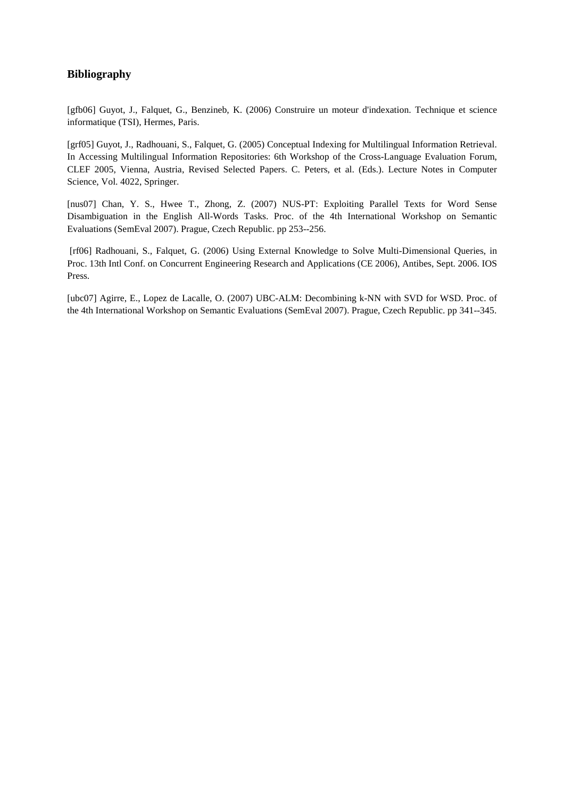# **Bibliography**

[gfb06] Guyot, J., Falquet, G., Benzineb, K. (2006) Construire un moteur d'indexation. Technique et science informatique (TSI), Hermes, Paris.

[grf05] Guyot, J., Radhouani, S., Falquet, G. (2005) Conceptual Indexing for Multilingual Information Retrieval. In Accessing Multilingual Information Repositories: 6th Workshop of the Cross-Language Evaluation Forum, CLEF 2005, Vienna, Austria, Revised Selected Papers. C. Peters, et al. (Eds.). Lecture Notes in Computer Science, Vol. 4022, Springer.

[nus07] Chan, Y. S., Hwee T., Zhong, Z. (2007) NUS-PT: Exploiting Parallel Texts for Word Sense Disambiguation in the English All-Words Tasks. Proc. of the 4th International Workshop on Semantic Evaluations (SemEval 2007). Prague, Czech Republic. pp 253--256.

 [rf06] Radhouani, S., Falquet, G. (2006) Using External Knowledge to Solve Multi-Dimensional Queries, in Proc. 13th Intl Conf. on Concurrent Engineering Research and Applications (CE 2006), Antibes, Sept. 2006. IOS Press.

[ubc07] Agirre, E., Lopez de Lacalle, O. (2007) UBC-ALM: Decombining k-NN with SVD for WSD. Proc. of the 4th International Workshop on Semantic Evaluations (SemEval 2007). Prague, Czech Republic. pp 341--345.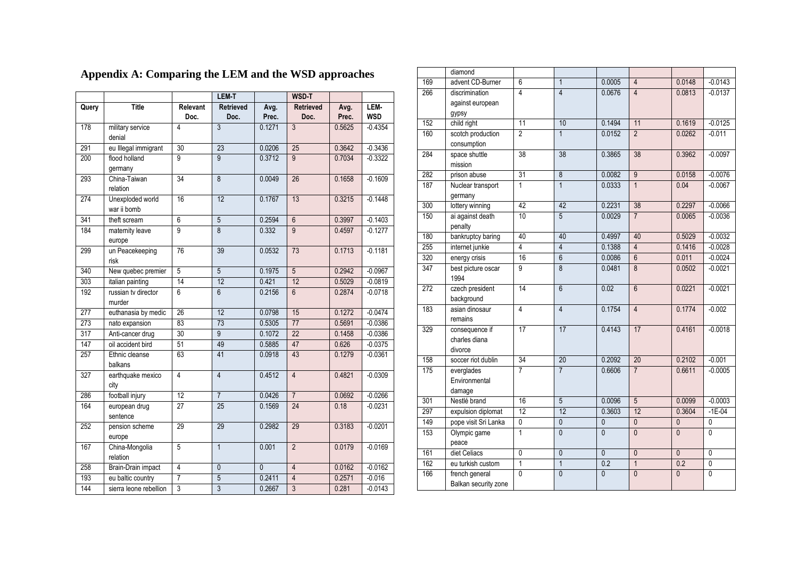|       |                                 |                  | <b>LEM-T</b>             |                | WSD-T                    |               |                    |
|-------|---------------------------------|------------------|--------------------------|----------------|--------------------------|---------------|--------------------|
| Query | <b>Title</b>                    | Relevant<br>Doc. | <b>Retrieved</b><br>Doc. | Avg.<br>Prec.  | <b>Retrieved</b><br>Doc. | Avg.<br>Prec. | LEM-<br><b>WSD</b> |
| 178   | military service<br>denial      | $\overline{4}$   | $\overline{3}$           | 0.1271         | $\overline{3}$           | 0.5625        | $-0.4354$          |
| 291   | eu Illegal immigrant            | 30               | 23                       | 0.0206         | 25                       | 0.3642        | $-0.3436$          |
| 200   | flood holland<br>germany        | $\overline{9}$   | $\overline{9}$           | 0.3712         | $\overline{9}$           | 0.7034        | $-0.3322$          |
| 293   | China-Taiwan<br>relation        | 34               | $\overline{8}$           | 0.0049         | 26                       | 0.1658        | $-0.1609$          |
| 274   | Unexploded world<br>war ii bomb | 16               | 12                       | 0.1767         | 13                       | 0.3215        | $-0.1448$          |
| 341   | theft scream                    | $\overline{6}$   | $\overline{5}$           | 0.2594         | $\overline{6}$           | 0.3997        | $-0.1403$          |
| 184   | maternity leave<br>europe       | $\overline{9}$   | $\overline{8}$           | 0.332          | $\overline{9}$           | 0.4597        | $-0.1277$          |
| 299   | un Peacekeeping<br>risk         | 76               | 39                       | 0.0532         | 73                       | 0.1713        | $-0.1181$          |
| 340   | New quebec premier              | 5                | $\overline{5}$           | 0.1975         | $\overline{5}$           | 0.2942        | $-0.0967$          |
| 303   | italian painting                | 14               | 12                       | 0.421          | 12                       | 0.5029        | $-0.0819$          |
| 192   | russian tv director<br>murder   | $6\overline{6}$  | $\overline{6}$           | 0.2156         | $6\overline{6}$          | 0.2874        | $-0.0718$          |
| 277   | euthanasia by medic             | $\overline{26}$  | 12                       | 0.0798         | 15                       | 0.1272        | $-0.0474$          |
| 273   | nato expansion                  | 83               | 73                       | 0.5305         | 77                       | 0.5691        | $-0.0386$          |
| 317   | Anti-cancer drug                | 30               | $\overline{9}$           | 0.1072         | $\overline{22}$          | 0.1458        | $-0.0386$          |
| 147   | oil accident bird               | 51               | 49                       | 0.5885         | 47                       | 0.626         | $-0.0375$          |
| 257   | Ethnic cleanse<br>balkans       | 63               | 41                       | 0.0918         | 43                       | 0.1279        | $-0.0361$          |
| 327   | earthquake mexico<br>city       | $\overline{4}$   | $\overline{4}$           | 0.4512         | $\overline{4}$           | 0.4821        | $-0.0309$          |
| 286   | football injury                 | 12               | $\overline{7}$           | 0.0426         | $\overline{7}$           | 0.0692        | $-0.0266$          |
| 164   | european drug<br>sentence       | $\overline{27}$  | 25                       | 0.1569         | $\overline{24}$          | 0.18          | $-0.0231$          |
| 252   | pension scheme<br>europe        | 29               | 29                       | 0.2982         | 29                       | 0.3183        | $-0.0201$          |
| 167   | China-Mongolia<br>relation      | $\overline{5}$   | $\mathbf{1}$             | 0.001          | $\overline{2}$           | 0.0179        | $-0.0169$          |
| 258   | <b>Brain-Drain impact</b>       | $\overline{4}$   | $\overline{0}$           | $\overline{0}$ | $\overline{4}$           | 0.0162        | $-0.0162$          |
| 193   | eu baltic country               | $\overline{7}$   | $\overline{5}$           | 0.2411         | $\overline{4}$           | 0.2571        | $-0.016$           |
| 144   | sierra leone rebellion          | 3                | $\overline{3}$           | 0.2667         | $\overline{3}$           | 0.281         | $-0.0143$          |

#### diamond9 | advent CD-Burner | 6 | 1 | 0.0005 | 4 | 0.0148 | -0.0143 169266 discrimination against european gypsy 4 <sup>4</sup> 0.0676 <sup>4</sup> 0.0813 -0.0137 1522 | child right | 11 | 10 | 0.1494 | 11 | 0.1619 | 0.0125 160 scotch production consumption 22 | 1 | 0.0152 | 2 | 0.0262 | -0.011 284 space shuttle mission 388 | 38 | 0.3865 <mark>| 38 | 0.3962 | -0.0097</mark> 282 prison abuse <sup>31</sup> <sup>8</sup> 0.0082 <sup>9</sup> 0.0158 -0.0076 187 Nuclear transport germany 11 | 1 | 0.0333 | 1 | 0.04 | -0.0067 300 lottery winning <sup>42</sup> <sup>42</sup> 0.2231 <sup>38</sup> 0.2297 -0.0066 150 ai against death penalty 100 | 5 | 0.0029 <mark>| 7 | 0.0065 |</mark> -0.0036 180bankruptcy baring 40 40 0.4997 40 0.5029 -0.0032<br>internet junkie 4 4 0.1388 4 0.1416 -0.0028 2555 | internet junkie | 4 | 4 | 0.1388 | 4 | 0.1416 | -0.0028 3200 energy crisis 16 6 0.0086 6 0.011 -0.0024 347 best picture oscar 1994 2 czech president 99 | 8 | 0.0481 <mark>| 8 | 0.0502 | -0.002</mark>1 272background asian dinosaur 144 6 0.02 <mark>6 0.0221 0.0021</mark> 183remains 44 | 4 | 0.1754 | 4 | 0.1774 | -0.002 329 consequence if charles diana divorce 177 | 17 | 0.4143 | <mark>17 | 0.4161 |</mark> -0.0018 158soccer riot dublin 34 20 0.2092 20 0.2102 -0.001<br>everglades 7 7 0.6606 7 0.6611 -0.0005 175 everglades Environmental damage 7 <sup>7</sup> 0.6606 <sup>7</sup> 0.6611 -0.0005 3011 Nestlé brand 16 5 0.0096 5 0.0099 -0.0003 297expulsion diplomat 12 12 0.3603 12 0.3604 -1E-04<br>pope visit Sri Lanka 0 0 0 0 0 0 0 0 149 pope visit Sri Lanka <sup>0</sup> <sup>0</sup> <sup>0</sup> <sup>0</sup> <sup>0</sup> <sup>0</sup> 153 Olympic game peace 11 0 0 0 0 0 1611 diet Celiacs 0 0 0 0 0 0 0 0 162 eu turkish customm 1 1 0.2 1 0.2 0 166 french general Balkan security zone  $\overline{0}$ 0 0 0 0 0

## **Appendix A: Comparing the LEM and the WSD approaches**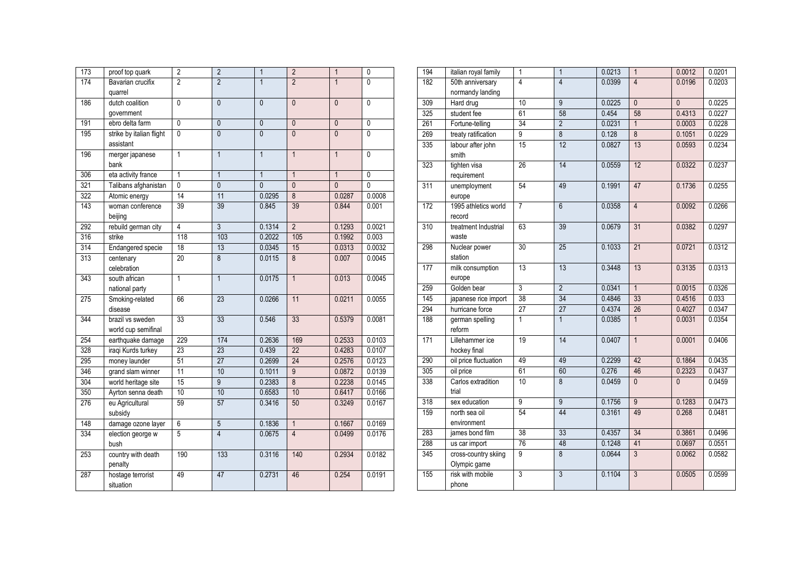| $\overline{173}$ | proof top quark          | $\overline{2}$  | $\overline{2}$ | $\mathbf{1}$   | $\overline{2}$  | $\mathbf{1}$   | $\mathbf{0}$   |
|------------------|--------------------------|-----------------|----------------|----------------|-----------------|----------------|----------------|
| 174              | Bavarian crucifix        | $\overline{2}$  | $\overline{2}$ | $\mathbf{1}$   | $\overline{2}$  | $\mathbf{1}$   | $\overline{0}$ |
|                  | quarrel                  |                 |                |                |                 |                |                |
| 186              | dutch coalition          | $\mathbf{0}$    | $\overline{0}$ | $\mathbf{0}$   | $\mathbf{0}$    | $\mathbf{0}$   | 0              |
|                  | government               |                 |                |                |                 |                |                |
| 191              | ebro delta farm          | $\overline{0}$  | $\Omega$       | $\overline{0}$ | $\mathbf{0}$    | $\mathbf{0}$   | $\overline{0}$ |
| 195              | strike by italian flight | $\overline{0}$  | $\overline{0}$ | $\overline{0}$ | $\overline{0}$  | $\overline{0}$ | $\overline{0}$ |
|                  | assistant                |                 |                |                |                 |                |                |
| 196              | merger japanese          | 1               | $\mathbf{1}$   | $\mathbf{1}$   | $\mathbf{1}$    | $\mathbf{1}$   | $\Omega$       |
|                  | bank                     |                 |                |                |                 |                |                |
| 306              | eta activity france      | $\mathbf{1}$    | $\mathbf{1}$   | $\mathbf{1}$   | $\overline{1}$  | $\mathbf{1}$   | $\overline{0}$ |
| 321              | Talibans afghanistan     | $\overline{0}$  | $\overline{0}$ | $\overline{0}$ | $\overline{0}$  | $\overline{0}$ | $\overline{0}$ |
| 322              | Atomic energy            | 14              | 11             | 0.0295         | $\overline{8}$  | 0.0287         | 0.0008         |
| 143              | woman conference         | 39              | 39             | 0.845          | 39              | 0.844          | 0.001          |
|                  | beijing                  |                 |                |                |                 |                |                |
| 292              | rebuild german city      | $\overline{4}$  | $\overline{3}$ | 0.1314         | $\overline{2}$  | 0.1293         | 0.0021         |
| 316              | strike                   | 118             | 103            | 0.2022         | 105             | 0.1992         | 0.003          |
| 314              | Endangered specie        | 18              | 13             | 0.0345         | 15              | 0.0313         | 0.0032         |
| 313              | centenary                | 20              | $\overline{8}$ | 0.0115         | $\overline{8}$  | 0.007          | 0.0045         |
|                  | celebration              |                 |                |                |                 |                |                |
| 343              | south african            | $\overline{1}$  | $\mathbf{1}$   | 0.0175         | $\mathbf{1}$    | 0.013          | 0.0045         |
|                  | national party           |                 |                |                |                 |                |                |
| $\overline{275}$ | Smoking-related          | 66              | 23             | 0.0266         | 11              | 0.0211         | 0.0055         |
|                  | disease                  |                 |                |                |                 |                |                |
| 344              | brazil vs sweden         | 33              | 33             | 0.546          | 33              | 0.5379         | 0.0081         |
|                  | world cup semifinal      |                 |                |                |                 |                |                |
| 254              | earthquake damage        | 229             | 174            | 0.2636         | 169             | 0.2533         | 0.0103         |
| 328              | iraqi Kurds turkey       | $\overline{23}$ | 23             | 0.439          | $\overline{22}$ | 0.4283         | 0.0107         |
| 295              | money launder            | 51              | 27             | 0.2699         | 24              | 0.2576         | 0.0123         |
| 346              | grand slam winner        | 11              | 10             | 0.1011         | $\overline{9}$  | 0.0872         | 0.0139         |
| 304              | world heritage site      | 15              | $\overline{9}$ | 0.2383         | 8               | 0.2238         | 0.0145         |
| 350              | Ayrton senna death       | 10              | 10             | 0.6583         | 10              | 0.6417         | 0.0166         |
| 276              | eu Agricultural          | 59              | 57             | 0.3416         | 50              | 0.3249         | 0.0167         |
|                  | subsidy                  |                 |                |                |                 |                |                |
| 148              | damage ozone layer       | $\overline{6}$  | $\overline{5}$ | 0.1836         | $\overline{1}$  | 0.1667         | 0.0169         |
| 334              | election george w        | 5               | $\overline{4}$ | 0.0675         | $\overline{4}$  | 0.0499         | 0.0176         |
|                  | bush                     |                 |                |                |                 |                |                |
| 253              | country with death       | 190             | 133            | 0.3116         | 140             | 0.2934         | 0.0182         |
|                  | penalty                  |                 |                |                |                 |                |                |
| 287              | hostage terrorist        | 49              | 47             | 0.2731         | 46              | 0.254          | 0.0191         |
|                  | situation                |                 |                |                |                 |                |                |

| 194 | italian royal family                 | 1               | $\overline{1}$  | 0.0213 | $\overline{1}$  | 0.0012         | 0.0201 |
|-----|--------------------------------------|-----------------|-----------------|--------|-----------------|----------------|--------|
| 182 | 50th anniversary                     | $\overline{4}$  | $\overline{4}$  | 0.0399 | $\overline{4}$  | 0.0196         | 0.0203 |
|     | normandy landing                     |                 |                 |        |                 |                |        |
| 309 | Hard drug                            | 10              | $\overline{9}$  | 0.0225 | $\overline{0}$  | $\overline{0}$ | 0.0225 |
| 325 | student fee                          | 61              | 58              | 0.454  | 58              | 0.4313         | 0.0227 |
| 261 | Fortune-telling                      | 34              | $\overline{2}$  | 0.0231 | $\mathbf{1}$    | 0.0003         | 0.0228 |
| 269 | treaty ratification                  | 9               | $\overline{8}$  | 0.128  | $\overline{8}$  | 0.1051         | 0.0229 |
| 335 | labour after john<br>smith           | 15              | 12              | 0.0827 | 13              | 0.0593         | 0.0234 |
| 323 | tighten visa<br>requirement          | 26              | 14              | 0.0559 | 12              | 0.0322         | 0.0237 |
| 311 | unemployment<br>europe               | 54              | 49              | 0.1991 | 47              | 0.1736         | 0.0255 |
| 172 | 1995 athletics world<br>record       | 7               | $\overline{6}$  | 0.0358 | $\overline{4}$  | 0.0092         | 0.0266 |
| 310 | treatment Industrial<br>waste        | 63              | 39              | 0.0679 | 31              | 0.0382         | 0.0297 |
| 298 | Nuclear power<br>station             | 30              | 25              | 0.1033 | 21              | 0.0721         | 0.0312 |
| 177 | milk consumption<br>europe           | 13              | 13              | 0.3448 | 13              | 0.3135         | 0.0313 |
| 259 | Golden bear                          | $\overline{3}$  | $\overline{2}$  | 0.0341 | $\overline{1}$  | 0.0015         | 0.0326 |
| 145 | japanese rice import                 | 38              | 34              | 0.4846 | 33              | 0.4516         | 0.033  |
| 294 | hurricane force                      | $\overline{27}$ | $\overline{27}$ | 0.4374 | $\overline{26}$ | 0.4027         | 0.0347 |
| 188 | german spelling<br>reform            | 1               | $\mathbf{1}$    | 0.0385 | $\mathbf{1}$    | 0.0031         | 0.0354 |
| 171 | Lillehammer ice<br>hockey final      | 19              | 14              | 0.0407 | $\overline{1}$  | 0.0001         | 0.0406 |
| 290 | oil price fluctuation                | 49              | 49              | 0.2299 | 42              | 0.1864         | 0.0435 |
| 305 | oil price                            | 61              | 60              | 0.276  | 46              | 0.2323         | 0.0437 |
| 338 | Carlos extradition<br>trial          | 10              | $\overline{8}$  | 0.0459 | $\overline{0}$  | $\mathbf{0}$   | 0.0459 |
| 318 | sex education                        | 9               | $\overline{9}$  | 0.1756 | $\overline{9}$  | 0.1283         | 0.0473 |
| 159 | north sea oil<br>environment         | 54              | 44              | 0.3161 | 49              | 0.268          | 0.0481 |
| 283 | james bond film                      | 38              | 33              | 0.4357 | 34              | 0.3861         | 0.0496 |
| 288 | us car import                        | 76              | 48              | 0.1248 | 41              | 0.0697         | 0.0551 |
| 345 | cross-country skiing<br>Olympic game | 9               | 8               | 0.0644 | 3               | 0.0062         | 0.0582 |
| 155 | risk with mobile<br>phone            | 3               | $\overline{3}$  | 0.1104 | $\mathfrak{Z}$  | 0.0505         | 0.0599 |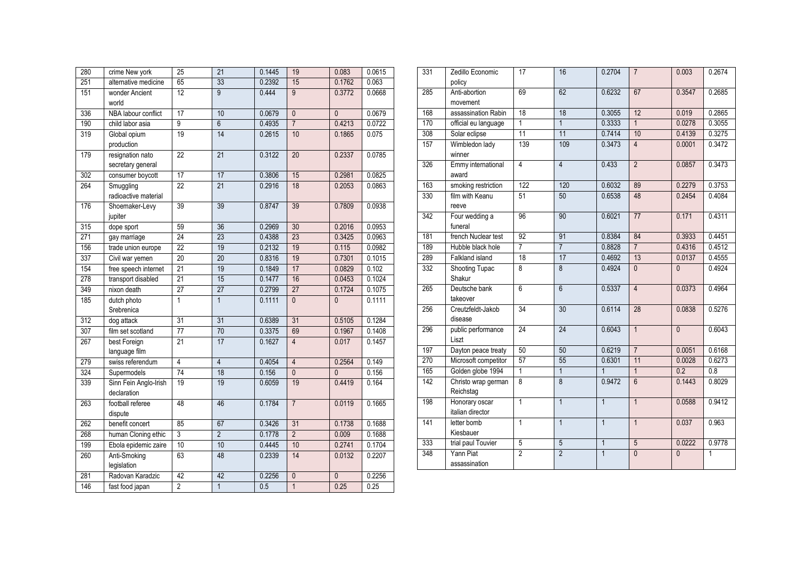| 280 | crime New york                        | $\overline{25}$ | $\overline{21}$ | 0.1445 | 19             | 0.083          | 0.0615 |
|-----|---------------------------------------|-----------------|-----------------|--------|----------------|----------------|--------|
| 251 | alternative medicine                  | 65              | 33              | 0.2392 | 15             | 0.1762         | 0.063  |
| 151 | wonder Ancient<br>world               | $\overline{12}$ | $\overline{9}$  | 0.444  | $\overline{9}$ | 0.3772         | 0.0668 |
| 336 | NBA labour conflict                   | $\overline{17}$ | 10              | 0.0679 | $\overline{0}$ | $\overline{0}$ | 0.0679 |
| 190 | child labor asia                      | $\overline{9}$  | $\overline{6}$  | 0.4935 | $\overline{7}$ | 0.4213         | 0.0722 |
| 319 | Global opium<br>production            | 19              | $\overline{14}$ | 0.2615 | 10             | 0.1865         | 0.075  |
| 179 | resignation nato<br>secretary general | $\overline{22}$ | 21              | 0.3122 | 20             | 0.2337         | 0.0785 |
| 302 | consumer boycott                      | $\overline{17}$ | 17              | 0.3806 | 15             | 0.2981         | 0.0825 |
| 264 | Smuggling<br>radioactive material     | 22              | 21              | 0.2916 | 18             | 0.2053         | 0.0863 |
| 176 | Shoemaker-Levy<br>jupiter             | 39              | 39              | 0.8747 | 39             | 0.7809         | 0.0938 |
| 315 | dope sport                            | 59              | 36              | 0.2969 | 30             | 0.2016         | 0.0953 |
| 271 | gay marriage                          | 24              | 23              | 0.4388 | 23             | 0.3425         | 0.0963 |
| 156 | trade union europe                    | $\overline{22}$ | 19              | 0.2132 | 19             | 0.115          | 0.0982 |
| 337 | Civil war yemen                       | 20              | 20              | 0.8316 | 19             | 0.7301         | 0.1015 |
| 154 | free speech internet                  | 21              | 19              | 0.1849 | 17             | 0.0829         | 0.102  |
| 278 | transport disabled                    | 21              | 15              | 0.1477 | 16             | 0.0453         | 0.1024 |
| 349 | nixon death                           | $\overline{27}$ | $\overline{27}$ | 0.2799 | 27             | 0.1724         | 0.1075 |
| 185 | dutch photo<br>Srebrenica             | $\overline{1}$  | $\overline{1}$  | 0.1111 | $\mathbf{0}$   | $\mathbf{0}$   | 0.1111 |
| 312 | dog attack                            | 31              | 31              | 0.6389 | 31             | 0.5105         | 0.1284 |
| 307 | film set scotland                     | $\overline{77}$ | 70              | 0.3375 | 69             | 0.1967         | 0.1408 |
| 267 | best Foreign<br>language film         | $\overline{21}$ | $\overline{17}$ | 0.1627 | $\overline{4}$ | 0.017          | 0.1457 |
| 279 | swiss referendum                      | $\overline{4}$  | $\overline{4}$  | 0.4054 | $\overline{4}$ | 0.2564         | 0.149  |
| 324 | Supermodels                           | 74              | 18              | 0.156  | $\overline{0}$ | $\overline{0}$ | 0.156  |
| 339 | Sinn Fein Anglo-Irish<br>declaration  | 19              | 19              | 0.6059 | 19             | 0.4419         | 0.164  |
| 263 | football referee<br>dispute           | 48              | 46              | 0.1784 | $\overline{7}$ | 0.0119         | 0.1665 |
| 262 | benefit concert                       | 85              | 67              | 0.3426 | 31             | 0.1738         | 0.1688 |
| 268 | human Cloning ethic                   | 3               | $\overline{2}$  | 0.1778 | $\overline{2}$ | 0.009          | 0.1688 |
| 199 | Ebola epidemic zaire                  | 10              | 10              | 0.4445 | 10             | 0.2741         | 0.1704 |
| 260 | Anti-Smoking<br>legislation           | 63              | 48              | 0.2339 | 14             | 0.0132         | 0.2207 |
| 281 | Radovan Karadzic                      | 42              | 42              | 0.2256 | $\overline{0}$ | $\overline{0}$ | 0.2256 |
| 146 | fast food japan                       | $\overline{2}$  | $\overline{1}$  | 0.5    | $\overline{1}$ | 0.25           | 0.25   |

| 331              | Zedillo Economic<br>policy         | 17              | 16              | 0.2704         | $\overline{7}$  | 0.003          | 0.2674 |
|------------------|------------------------------------|-----------------|-----------------|----------------|-----------------|----------------|--------|
| 285              | Anti-abortion<br>movement          | 69              | 62              | 0.6232         | 67              | 0.3547         | 0.2685 |
| 168              | assassination Rabin                | 18              | 18              | 0.3055         | 12              | 0.019          | 0.2865 |
| 170              | official eu language               | $\mathbf{1}$    | $\mathbf{1}$    | 0.3333         | $\mathbf{1}$    | 0.0278         | 0.3055 |
| 308              | Solar eclipse                      | 11              | 11              | 0.7414         | 10              | 0.4139         | 0.3275 |
| 157              | Wimbledon lady<br>winner           | 139             | 109             | 0.3473         | $\overline{4}$  | 0.0001         | 0.3472 |
| 326              | Emmy international<br>award        | $\overline{4}$  | $\overline{4}$  | 0.433          | $\overline{2}$  | 0.0857         | 0.3473 |
| 163              | smoking restriction                | 122             | 120             | 0.6032         | 89              | 0.2279         | 0.3753 |
| 330              | film with Keanu<br>reeve           | 51              | 50              | 0.6538         | 48              | 0.2454         | 0.4084 |
| 342              | Four wedding a<br>funeral          | 96              | 90              | 0.6021         | $\overline{77}$ | 0.171          | 0.4311 |
| 181              | french Nuclear test                | 92              | 91              | 0.8384         | 84              | 0.3933         | 0.4451 |
| 189              | Hubble black hole                  | $\overline{7}$  | $\overline{7}$  | 0.8828         | $\overline{7}$  | 0.4316         | 0.4512 |
| 289              | Falkland island                    | 18              | 17              | 0.4692         | 13              | 0.0137         | 0.4555 |
| 332              | <b>Shooting Tupac</b><br>Shakur    | $\overline{8}$  | $\overline{8}$  | 0.4924         | $\overline{0}$  | $\mathbf{0}$   | 0.4924 |
| 265              | Deutsche bank<br>takeover          | $\overline{6}$  | $\overline{6}$  | 0.5337         | $\overline{4}$  | 0.0373         | 0.4964 |
| 256              | Creutzfeldt-Jakob<br>disease       | 34              | 30              | 0.6114         | 28              | 0.0838         | 0.5276 |
| 296              | public performance<br>Liszt        | $\overline{24}$ | $\overline{24}$ | 0.6043         | $\overline{1}$  | $\overline{0}$ | 0.6043 |
| 197              | Dayton peace treaty                | 50              | 50              | 0.6219         | $\overline{7}$  | 0.0051         | 0.6168 |
| 270              | Microsoft competitor               | 57              | 55              | 0.6301         | 11              | 0.0028         | 0.6273 |
| 165              | Golden globe 1994                  | $\overline{1}$  | $\overline{1}$  | $\mathbf{1}$   | $\overline{1}$  | 0.2            | 0.8    |
| $\overline{142}$ | Christo wrap german<br>Reichstag   | $\overline{8}$  | $\overline{8}$  | 0.9472         | 6               | 0.1443         | 0.8029 |
| 198              | Honorary oscar<br>italian director | 1               | $\overline{1}$  | $\mathbf{1}$   | $\overline{1}$  | 0.0588         | 0.9412 |
| 141              | letter bomb<br>Kiesbauer           | $\overline{1}$  | $\overline{1}$  | $\overline{1}$ | $\overline{1}$  | 0.037          | 0.963  |
| 333              | trial paul Touvier                 | $\overline{5}$  | $\overline{5}$  | $\overline{1}$ | $\overline{5}$  | 0.0222         | 0.9778 |
| 348              | Yann Piat<br>assassination         | $\overline{2}$  | $\overline{2}$  | $\overline{1}$ | $\overline{0}$  | $\overline{0}$ | 1      |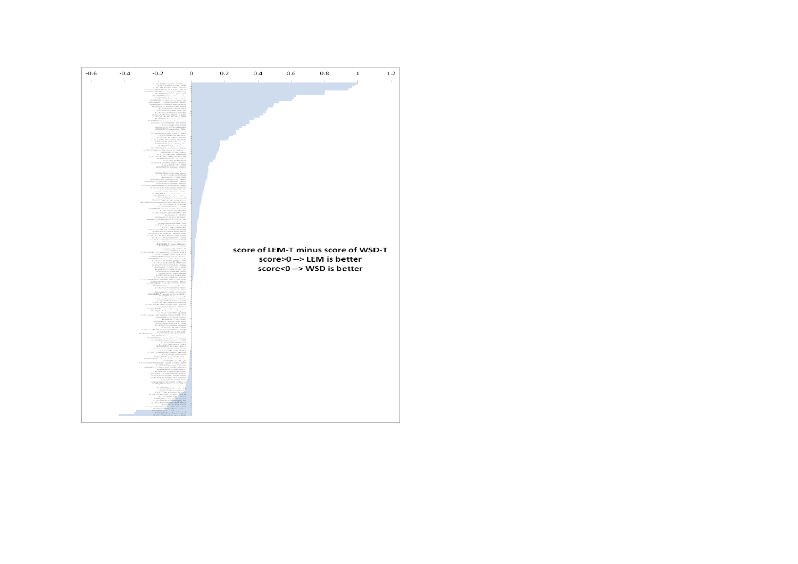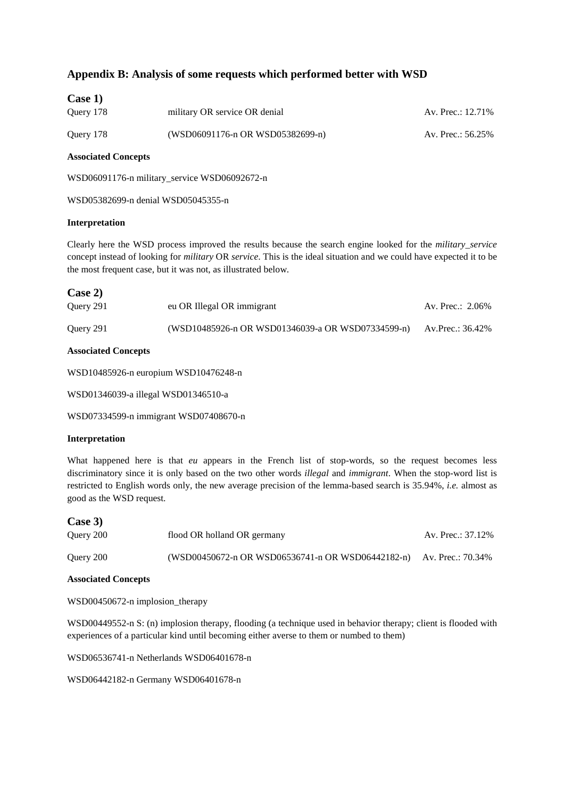# **Appendix B: Analysis of some requests which performed better with WSD**

| Case 1)   |                                  |                   |
|-----------|----------------------------------|-------------------|
| Query 178 | military OR service OR denial    | Av. Prec.: 12.71% |
| Query 178 | (WSD06091176-n OR WSD05382699-n) | Av. Prec.: 56.25% |

## **Associated Concepts**

WSD06091176-n military\_service WSD06092672-n

WSD05382699-n denial WSD05045355-n

## **Interpretation**

Clearly here the WSD process improved the results because the search engine looked for the *military\_service*  concept instead of looking for *military* OR *service*. This is the ideal situation and we could have expected it to be the most frequent case, but it was not, as illustrated below.

| Case 2)   |                                                   |                  |
|-----------|---------------------------------------------------|------------------|
| Query 291 | eu OR Illegal OR immigrant                        | Av. Prec.: 2.06% |
| Query 291 | (WSD10485926-n OR WSD01346039-a OR WSD07334599-n) | Av.Prec.: 36.42% |

## **Associated Concepts**

WSD10485926-n europium WSD10476248-n

WSD01346039-a illegal WSD01346510-a

WSD07334599-n immigrant WSD07408670-n

### **Interpretation**

What happened here is that *eu* appears in the French list of stop-words, so the request becomes less discriminatory since it is only based on the two other words *illegal* and *immigrant*. When the stop-word list is restricted to English words only, the new average precision of the lemma-based search is 35.94%, *i.e.* almost as good as the WSD request.

| Case 3)   |                                                                     |                   |
|-----------|---------------------------------------------------------------------|-------------------|
| Query 200 | flood OR holland OR germany                                         | Av. Prec.: 37.12% |
| Query 200 | (WSD00450672-n OR WSD06536741-n OR WSD06442182-n) Av. Prec.: 70.34% |                   |

### **Associated Concepts**

WSD00450672-n implosion therapy

WSD00449552-n S: (n) implosion therapy, flooding (a technique used in behavior therapy; client is flooded with experiences of a particular kind until becoming either averse to them or numbed to them)

WSD06536741-n Netherlands WSD06401678-n

WSD06442182-n Germany WSD06401678-n